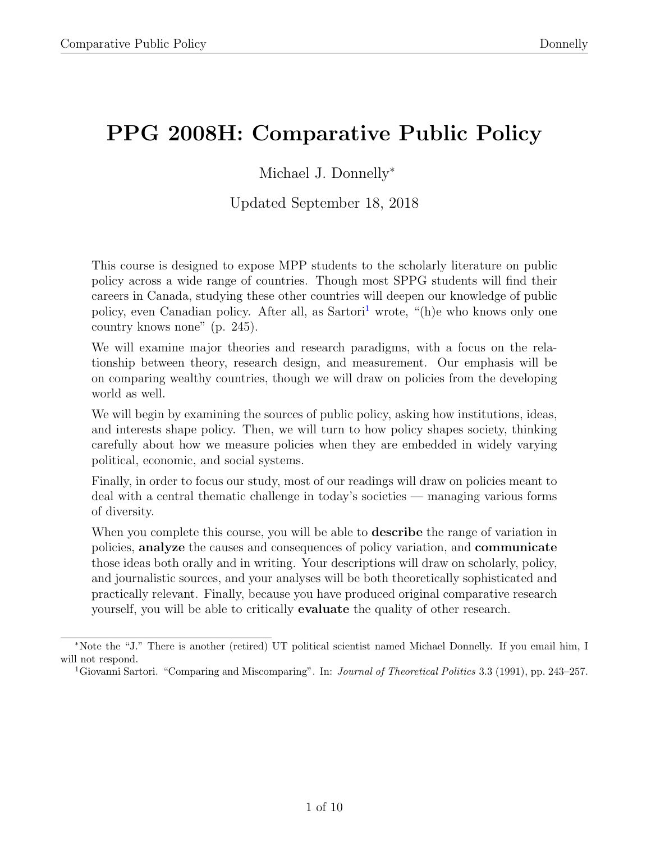# PPG 2008H: Comparative Public Policy

### Michael J. Donnelly<sup>∗</sup>

#### Updated September 18, 2018

This course is designed to expose MPP students to the scholarly literature on public policy across a wide range of countries. Though most SPPG students will find their careers in Canada, studying these other countries will deepen our knowledge of public policy, even Canadian policy. After all, as  $Sartori<sup>1</sup>$  $Sartori<sup>1</sup>$  $Sartori<sup>1</sup>$  wrote, "(h)e who knows only one country knows none" (p. 245).

We will examine major theories and research paradigms, with a focus on the relationship between theory, research design, and measurement. Our emphasis will be on comparing wealthy countries, though we will draw on policies from the developing world as well.

We will begin by examining the sources of public policy, asking how institutions, ideas, and interests shape policy. Then, we will turn to how policy shapes society, thinking carefully about how we measure policies when they are embedded in widely varying political, economic, and social systems.

Finally, in order to focus our study, most of our readings will draw on policies meant to deal with a central thematic challenge in today's societies — managing various forms of diversity.

When you complete this course, you will be able to **describe** the range of variation in policies, analyze the causes and consequences of policy variation, and communicate those ideas both orally and in writing. Your descriptions will draw on scholarly, policy, and journalistic sources, and your analyses will be both theoretically sophisticated and practically relevant. Finally, because you have produced original comparative research yourself, you will be able to critically evaluate the quality of other research.

<sup>∗</sup>Note the "J." There is another (retired) UT political scientist named Michael Donnelly. If you email him, I will not respond.

<span id="page-0-0"></span><sup>&</sup>lt;sup>1</sup>Giovanni Sartori. "Comparing and Miscomparing". In: *Journal of Theoretical Politics* 3.3 (1991), pp. 243–257.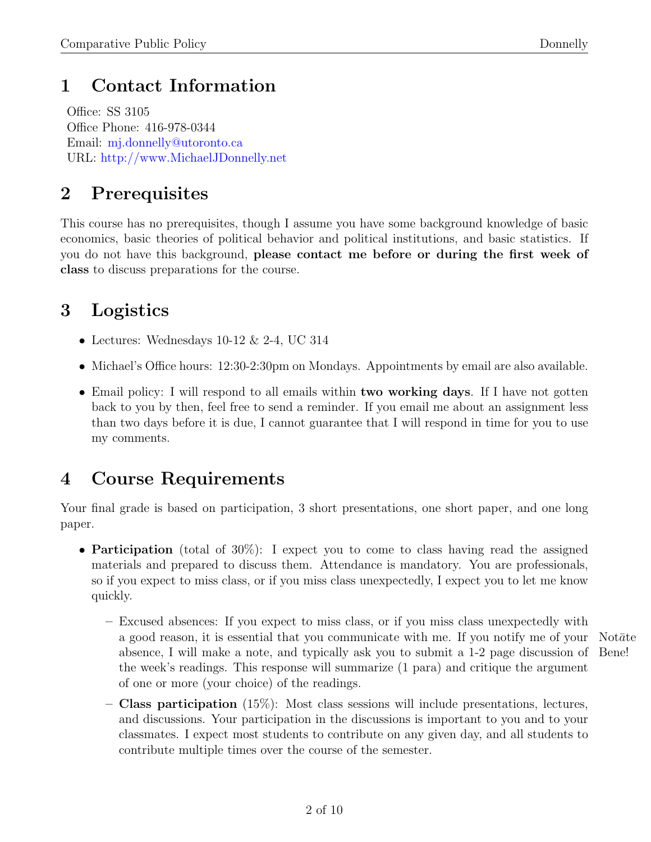# 1 Contact Information

Office: SS 3105 Office Phone: 416-978-0344 Email: [mj.donnelly@utoronto.ca](mailto:mj.donnelly@utoronto.ca) URL: <http://www.MichaelJDonnelly.net>

# 2 Prerequisites

This course has no prerequisites, though I assume you have some background knowledge of basic economics, basic theories of political behavior and political institutions, and basic statistics. If you do not have this background, please contact me before or during the first week of class to discuss preparations for the course.

# 3 Logistics

- Lectures: Wednesdays 10-12  $& 2-4$ , UC 314
- Michael's Office hours: 12:30-2:30pm on Mondays. Appointments by email are also available.
- Email policy: I will respond to all emails within **two working days**. If I have not gotten back to you by then, feel free to send a reminder. If you email me about an assignment less than two days before it is due, I cannot guarantee that I will respond in time for you to use my comments.

# 4 Course Requirements

Your final grade is based on participation, 3 short presentations, one short paper, and one long paper.

- **Participation** (total of 30%): I expect you to come to class having read the assigned materials and prepared to discuss them. Attendance is mandatory. You are professionals, so if you expect to miss class, or if you miss class unexpectedly, I expect you to let me know quickly.
	- Excused absences: If you expect to miss class, or if you miss class unexpectedly with a good reason, it is essential that you communicate with me. If you notify me of your Not $\bar{a}$ te absence, I will make a note, and typically ask you to submit a 1-2 page discussion of Bene! the week's readings. This response will summarize (1 para) and critique the argument of one or more (your choice) of the readings.
	- Class participation (15%): Most class sessions will include presentations, lectures, and discussions. Your participation in the discussions is important to you and to your classmates. I expect most students to contribute on any given day, and all students to contribute multiple times over the course of the semester.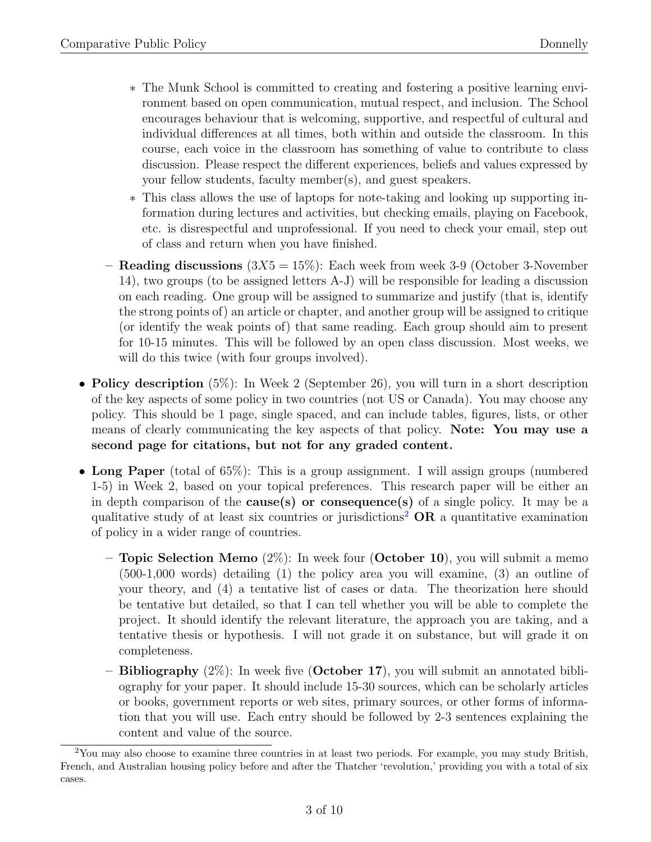- ∗ The Munk School is committed to creating and fostering a positive learning environment based on open communication, mutual respect, and inclusion. The School encourages behaviour that is welcoming, supportive, and respectful of cultural and individual differences at all times, both within and outside the classroom. In this course, each voice in the classroom has something of value to contribute to class discussion. Please respect the different experiences, beliefs and values expressed by your fellow students, faculty member(s), and guest speakers.
- ∗ This class allows the use of laptops for note-taking and looking up supporting information during lectures and activities, but checking emails, playing on Facebook, etc. is disrespectful and unprofessional. If you need to check your email, step out of class and return when you have finished.
- **Reading discussions**  $(3X5 = 15\%)$ : Each week from week 3-9 (October 3-November 14), two groups (to be assigned letters A-J) will be responsible for leading a discussion on each reading. One group will be assigned to summarize and justify (that is, identify the strong points of) an article or chapter, and another group will be assigned to critique (or identify the weak points of) that same reading. Each group should aim to present for 10-15 minutes. This will be followed by an open class discussion. Most weeks, we will do this twice (with four groups involved).
- Policy description  $(5\%)$ : In Week 2 (September 26), you will turn in a short description of the key aspects of some policy in two countries (not US or Canada). You may choose any policy. This should be 1 page, single spaced, and can include tables, figures, lists, or other means of clearly communicating the key aspects of that policy. Note: You may use a second page for citations, but not for any graded content.
- Long Paper (total of 65%): This is a group assignment. I will assign groups (numbered 1-5) in Week 2, based on your topical preferences. This research paper will be either an in depth comparison of the **cause(s)** or **consequence(s)** of a single policy. It may be a qualitative study of at least six countries or jurisdictions<sup>[2](#page-2-0)</sup> OR a quantitative examination of policy in a wider range of countries.
	- Topic Selection Memo  $(2\%)$ : In week four (October 10), you will submit a memo (500-1,000 words) detailing (1) the policy area you will examine, (3) an outline of your theory, and (4) a tentative list of cases or data. The theorization here should be tentative but detailed, so that I can tell whether you will be able to complete the project. It should identify the relevant literature, the approach you are taking, and a tentative thesis or hypothesis. I will not grade it on substance, but will grade it on completeness.
	- **Bibliography**  $(2\%)$ : In week five (**October 17**), you will submit an annotated bibliography for your paper. It should include 15-30 sources, which can be scholarly articles or books, government reports or web sites, primary sources, or other forms of information that you will use. Each entry should be followed by 2-3 sentences explaining the content and value of the source.

<span id="page-2-0"></span><sup>2</sup>You may also choose to examine three countries in at least two periods. For example, you may study British, French, and Australian housing policy before and after the Thatcher 'revolution,' providing you with a total of six cases.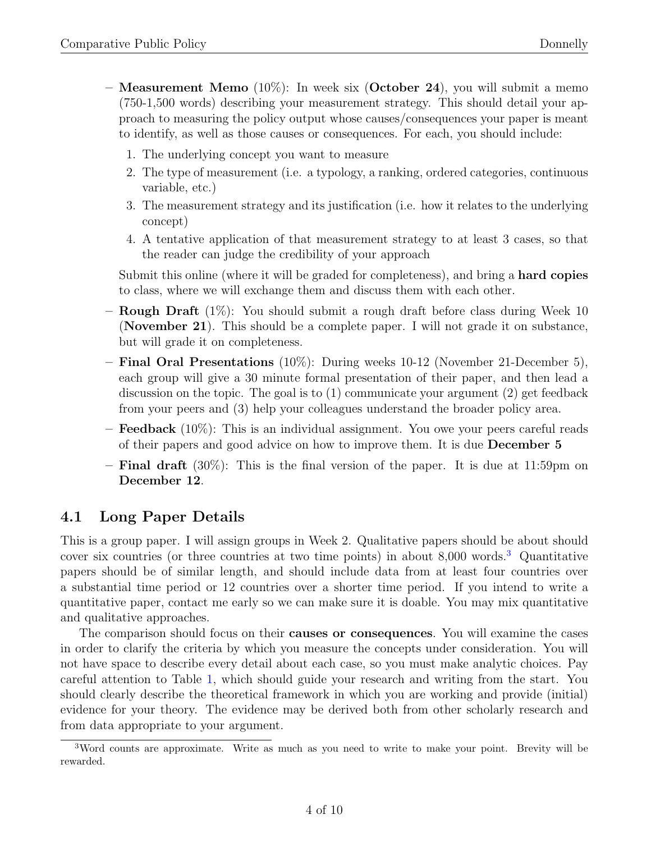- **Measurement Memo** (10%): In week six (**October 24**), you will submit a memo (750-1,500 words) describing your measurement strategy. This should detail your approach to measuring the policy output whose causes/consequences your paper is meant to identify, as well as those causes or consequences. For each, you should include:
	- 1. The underlying concept you want to measure
	- 2. The type of measurement (i.e. a typology, a ranking, ordered categories, continuous variable, etc.)
	- 3. The measurement strategy and its justification (i.e. how it relates to the underlying concept)
	- 4. A tentative application of that measurement strategy to at least 3 cases, so that the reader can judge the credibility of your approach

Submit this online (where it will be graded for completeness), and bring a **hard copies** to class, where we will exchange them and discuss them with each other.

- Rough Draft (1%): You should submit a rough draft before class during Week 10 (November 21). This should be a complete paper. I will not grade it on substance, but will grade it on completeness.
- Final Oral Presentations (10%): During weeks 10-12 (November 21-December 5), each group will give a 30 minute formal presentation of their paper, and then lead a discussion on the topic. The goal is to (1) communicate your argument (2) get feedback from your peers and (3) help your colleagues understand the broader policy area.
- Feedback (10%): This is an individual assignment. You owe your peers careful reads of their papers and good advice on how to improve them. It is due December 5
- **Final draft** (30%): This is the final version of the paper. It is due at 11:59pm on December 12.

#### 4.1 Long Paper Details

This is a group paper. I will assign groups in Week 2. Qualitative papers should be about should cover six countries (or three countries at two time points) in about 8,000 words.[3](#page-3-0) Quantitative papers should be of similar length, and should include data from at least four countries over a substantial time period or 12 countries over a shorter time period. If you intend to write a quantitative paper, contact me early so we can make sure it is doable. You may mix quantitative and qualitative approaches.

The comparison should focus on their causes or consequences. You will examine the cases in order to clarify the criteria by which you measure the concepts under consideration. You will not have space to describe every detail about each case, so you must make analytic choices. Pay careful attention to Table [1,](#page-5-0) which should guide your research and writing from the start. You should clearly describe the theoretical framework in which you are working and provide (initial) evidence for your theory. The evidence may be derived both from other scholarly research and from data appropriate to your argument.

<span id="page-3-0"></span><sup>&</sup>lt;sup>3</sup>Word counts are approximate. Write as much as you need to write to make your point. Brevity will be rewarded.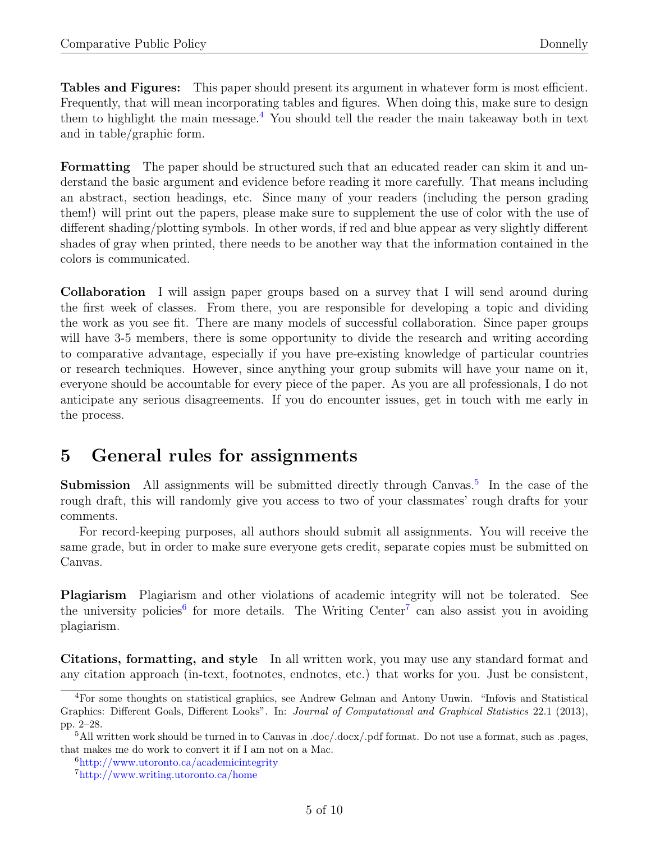Tables and Figures: This paper should present its argument in whatever form is most efficient. Frequently, that will mean incorporating tables and figures. When doing this, make sure to design them to highlight the main message.<sup>[4](#page-4-0)</sup> You should tell the reader the main takeaway both in text and in table/graphic form.

Formatting The paper should be structured such that an educated reader can skim it and understand the basic argument and evidence before reading it more carefully. That means including an abstract, section headings, etc. Since many of your readers (including the person grading them!) will print out the papers, please make sure to supplement the use of color with the use of different shading/plotting symbols. In other words, if red and blue appear as very slightly different shades of gray when printed, there needs to be another way that the information contained in the colors is communicated.

Collaboration I will assign paper groups based on a survey that I will send around during the first week of classes. From there, you are responsible for developing a topic and dividing the work as you see fit. There are many models of successful collaboration. Since paper groups will have 3-5 members, there is some opportunity to divide the research and writing according to comparative advantage, especially if you have pre-existing knowledge of particular countries or research techniques. However, since anything your group submits will have your name on it, everyone should be accountable for every piece of the paper. As you are all professionals, I do not anticipate any serious disagreements. If you do encounter issues, get in touch with me early in the process.

## 5 General rules for assignments

Submission All assignments will be submitted directly through Canvas.<sup>[5](#page-4-1)</sup> In the case of the rough draft, this will randomly give you access to two of your classmates' rough drafts for your comments.

For record-keeping purposes, all authors should submit all assignments. You will receive the same grade, but in order to make sure everyone gets credit, separate copies must be submitted on Canvas.

Plagiarism Plagiarism and other violations of academic integrity will not be tolerated. See the university policies<sup>[6](#page-4-2)</sup> for more details. The Writing Center<sup>[7](#page-4-3)</sup> can also assist you in avoiding plagiarism.

Citations, formatting, and style In all written work, you may use any standard format and any citation approach (in-text, footnotes, endnotes, etc.) that works for you. Just be consistent,

<span id="page-4-0"></span><sup>4</sup>For some thoughts on statistical graphics, see Andrew Gelman and Antony Unwin. "Infovis and Statistical Graphics: Different Goals, Different Looks". In: *Journal of Computational and Graphical Statistics* 22.1 (2013), pp. 2–28.

<span id="page-4-1"></span> $5$ All written work should be turned in to Canvas in .doc/.docx/.pdf format. Do not use a format, such as .pages, that makes me do work to convert it if I am not on a Mac.

<span id="page-4-2"></span><sup>6</sup>[http://www.utoronto.ca/academicintegrity](http://www.utoronto.ca/academicintegrity/)

<span id="page-4-3"></span><sup>7</sup><http://www.writing.utoronto.ca/home>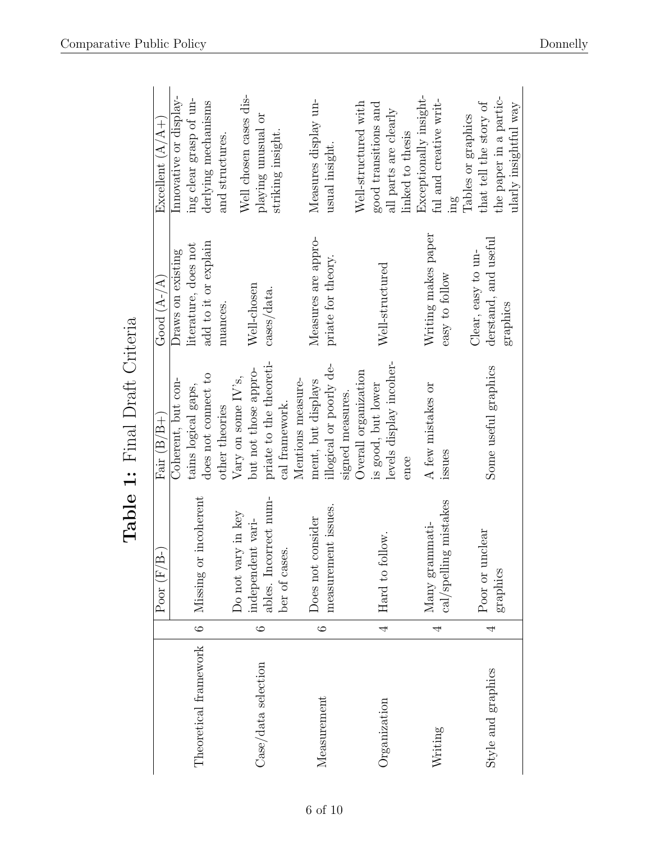<span id="page-5-0"></span>

|                       |                | Poor $(F/B-)$                           | $\mathrm{Fair}\ (\mathrm{B/B+})$              | Good $(A - / A)$     | Excellent $(A/A+$                                |
|-----------------------|----------------|-----------------------------------------|-----------------------------------------------|----------------------|--------------------------------------------------|
|                       |                |                                         | Coherent, but con-                            | Draws on existing    | Innovative or display-                           |
| Theoretical framework | $\circ$        |                                         | tains logical gaps,                           | literature, does not | ing clear grasp of un-                           |
|                       |                | incoherent<br>Missing or                | does not connect to                           | add to it or explain | derlying mechanisms                              |
|                       |                |                                         | other theories                                | nuances.             | and structures.                                  |
|                       |                | Do not vary in key                      | Vary on some $IV$ 's,                         |                      | Well chosen cases dis-                           |
| Case/data selection   | $\circ$        | independent vari-                       | but not those appro-                          | Well-chosen          | playing unusual or                               |
|                       |                | ables. Incorrect num-<br>ber of cases.  | priate to the theoreti-<br>cal framework.     | cases/data.          | striking insight.                                |
|                       |                |                                         | Mentions measure-                             |                      |                                                  |
| Measurement           | $\circ$        | consider<br>Does not                    | ment, but displays                            | Measures are appro-  | Measures display un-                             |
|                       |                | measurement issues.                     | illogical or poorly de-                       | priate for theory.   | usual insight.                                   |
|                       |                |                                         | signed measures.                              |                      |                                                  |
|                       |                |                                         | Overall organization                          |                      | Well-structured with                             |
| Organization          | $\overline{4}$ | Hard to follow.                         | levels display incoher-<br>is good, but lower | Well-structured      | good transitions and<br>all parts are clearly    |
|                       |                |                                         | ence                                          |                      | linked to thesis                                 |
| Writing               | $\overline{4}$ | Many grammati-<br>cal/spelling mistakes | A few mistakes or                             | Writing makes paper  | Exceptionally insight-<br>ful and creative writ- |
|                       |                |                                         | issues                                        | easy to follow       | mg                                               |
|                       |                |                                         |                                               | Clear, easy to un-   | Tables or graphics                               |
| Style and graphics    | $\overline{4}$ | nclear<br>Poor or un                    | Some useful graphics                          | derstand, and useful | that tell the story of                           |
|                       |                | graphics                                |                                               | graphics             | the paper in a partic-                           |
|                       |                |                                         |                                               |                      | ularly insightful way                            |

Table 1: Final Draft Criteria Table 1: Final Draft Criteria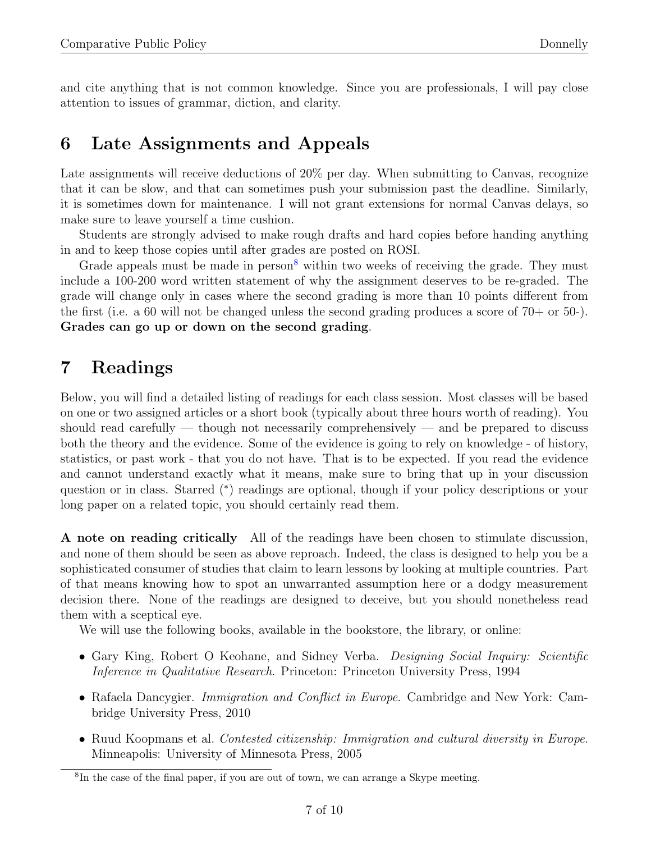and cite anything that is not common knowledge. Since you are professionals, I will pay close attention to issues of grammar, diction, and clarity.

## 6 Late Assignments and Appeals

Late assignments will receive deductions of 20% per day. When submitting to Canvas, recognize that it can be slow, and that can sometimes push your submission past the deadline. Similarly, it is sometimes down for maintenance. I will not grant extensions for normal Canvas delays, so make sure to leave yourself a time cushion.

Students are strongly advised to make rough drafts and hard copies before handing anything in and to keep those copies until after grades are posted on ROSI.

Grade appeals must be made in person<sup>[8](#page-6-0)</sup> within two weeks of receiving the grade. They must include a 100-200 word written statement of why the assignment deserves to be re-graded. The grade will change only in cases where the second grading is more than 10 points different from the first (i.e. a 60 will not be changed unless the second grading produces a score of  $70+$  or  $50-$ ). Grades can go up or down on the second grading.

## 7 Readings

Below, you will find a detailed listing of readings for each class session. Most classes will be based on one or two assigned articles or a short book (typically about three hours worth of reading). You should read carefully — though not necessarily comprehensively — and be prepared to discuss both the theory and the evidence. Some of the evidence is going to rely on knowledge - of history, statistics, or past work - that you do not have. That is to be expected. If you read the evidence and cannot understand exactly what it means, make sure to bring that up in your discussion question or in class. Starred (\*) readings are optional, though if your policy descriptions or your long paper on a related topic, you should certainly read them.

A note on reading critically All of the readings have been chosen to stimulate discussion, and none of them should be seen as above reproach. Indeed, the class is designed to help you be a sophisticated consumer of studies that claim to learn lessons by looking at multiple countries. Part of that means knowing how to spot an unwarranted assumption here or a dodgy measurement decision there. None of the readings are designed to deceive, but you should nonetheless read them with a sceptical eye.

We will use the following books, available in the bookstore, the library, or online:

- <span id="page-6-1"></span>• Gary King, Robert O Keohane, and Sidney Verba. *Designing Social Inquiry: Scientific* Inference in Qualitative Research. Princeton: Princeton University Press, 1994
- <span id="page-6-3"></span>• Rafaela Dancygier. *Immigration and Conflict in Europe*. Cambridge and New York: Cambridge University Press, 2010
- <span id="page-6-2"></span>• Ruud Koopmans et al. *Contested citizenship: Immigration and cultural diversity in Europe.* Minneapolis: University of Minnesota Press, 2005

<span id="page-6-0"></span><sup>&</sup>lt;sup>8</sup>In the case of the final paper, if you are out of town, we can arrange a Skype meeting.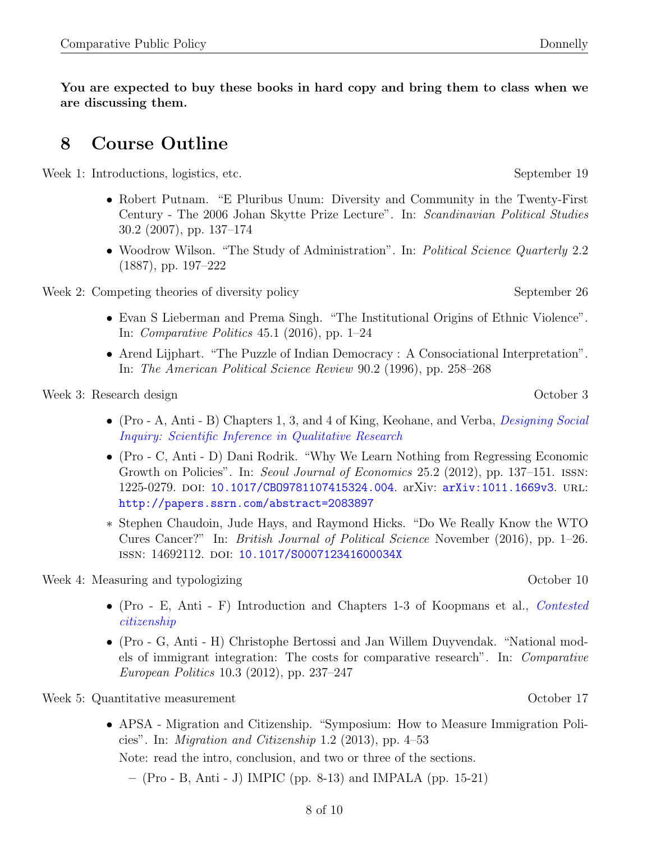You are expected to buy these books in hard copy and bring them to class when we are discussing them.

## 8 Course Outline

Week 1: Introductions, logistics, etc. September 19

- Robert Putnam. "E Pluribus Unum: Diversity and Community in the Twenty-First Century - The 2006 Johan Skytte Prize Lecture". In: Scandinavian Political Studies 30.2 (2007), pp. 137–174
- Woodrow Wilson. "The Study of Administration". In: Political Science Quarterly 2.2 (1887), pp. 197–222

Week 2: Competing theories of diversity policy September 26

- Evan S Lieberman and Prema Singh. "The Institutional Origins of Ethnic Violence". In: Comparative Politics 45.1 (2016), pp. 1–24
- Arend Lijphart. "The Puzzle of Indian Democracy : A Consociational Interpretation". In: The American Political Science Review 90.2 (1996), pp. 258–268

Week 3: Research design  $\qquad \qquad$  October 3

- (Pro A, Anti B) Chapters 1, 3, and 4 of King, Keohane, and Verba, *[Designing Social](#page-6-1)* [Inquiry: Scientific Inference in Qualitative Research](#page-6-1)
- (Pro C, Anti D) Dani Rodrik. "Why We Learn Nothing from Regressing Economic Growth on Policies". In: Seoul Journal of Economics 25.2 (2012), pp. 137–151. ISSN: 1225-0279. doi: [10.1017/CBO9781107415324.004](https://doi.org/10.1017/CBO9781107415324.004). arXiv: [arXiv:1011.1669v3](https://arxiv.org/abs/arXiv:1011.1669v3). url: <http://papers.ssrn.com/abstract=2083897>
- ∗ Stephen Chaudoin, Jude Hays, and Raymond Hicks. "Do We Really Know the WTO Cures Cancer?" In: British Journal of Political Science November (2016), pp. 1–26. ISSN: 14692112. DOI: [10.1017/S000712341600034X](https://doi.org/10.1017/S000712341600034X)

Week 4: Measuring and typologizing  $\sim$  October 10

- (Pro E, Anti F) Introduction and Chapters 1-3 of Koopmans et al., [Contested](#page-6-2) [citizenship](#page-6-2)
- (Pro G, Anti H) Christophe Bertossi and Jan Willem Duyvendak. "National models of immigrant integration: The costs for comparative research". In: Comparative European Politics 10.3 (2012), pp. 237–247

Week 5: Quantitative measurement Constanting Communication Correct Communication Correct October 17

• APSA - Migration and Citizenship. "Symposium: How to Measure Immigration Policies". In: *Migration and Citizenship* 1.2 (2013), pp.  $4-53$ Note: read the intro, conclusion, and two or three of the sections.

 $-$  (Pro - B, Anti - J) IMPIC (pp. 8-13) and IMPALA (pp. 15-21)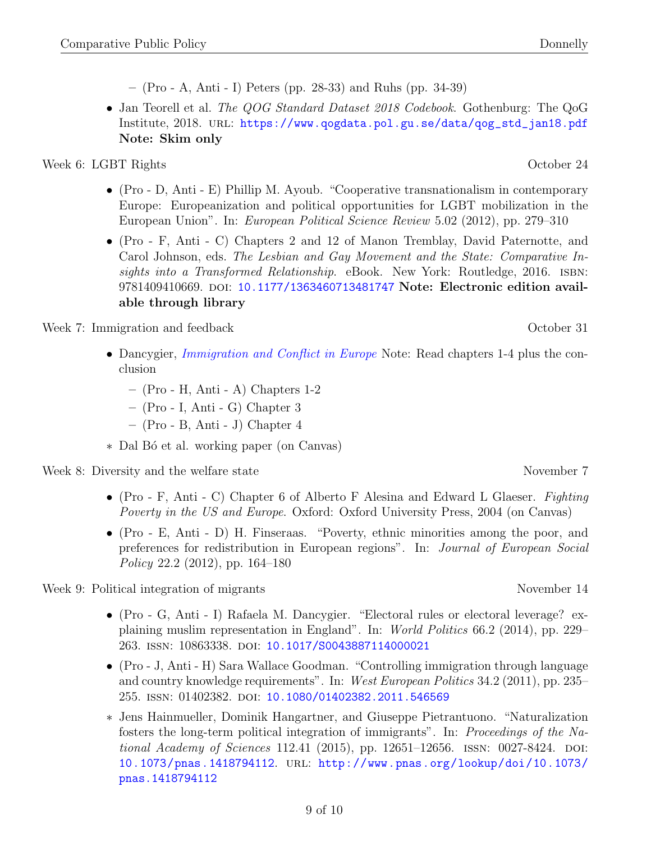– (Pro - A, Anti - I) Peters (pp. 28-33) and Ruhs (pp. 34-39)

• Jan Teorell et al. The QOG Standard Dataset 2018 Codebook. Gothenburg: The QoG Institute, 2018. url: [https://www.qogdata.pol.gu.se/data/qog\\_std\\_jan18.pdf](https://www.qogdata.pol.gu.se/data/qog_std_jan18.pdf) Note: Skim only

Week 6: LGBT Rights **October 24** 

- (Pro D, Anti E) Phillip M. Ayoub. "Cooperative transnationalism in contemporary Europe: Europeanization and political opportunities for LGBT mobilization in the European Union". In: European Political Science Review 5.02 (2012), pp. 279–310
- (Pro F, Anti C) Chapters 2 and 12 of Manon Tremblay, David Paternotte, and Carol Johnson, eds. The Lesbian and Gay Movement and the State: Comparative Insights into a Transformed Relationship. eBook. New York: Routledge, 2016. ISBN: 9781409410669. poi: [10.1177/1363460713481747](https://doi.org/10.1177/1363460713481747) Note: Electronic edition available through library

Week 7: Immigration and feedback **October 31** 

- Dancygier, *[Immigration and Conflict in Europe](#page-6-3)* Note: Read chapters 1-4 plus the conclusion
	- (Pro H, Anti A) Chapters 1-2
	- (Pro I, Anti G) Chapter 3
	- (Pro B, Anti J) Chapter 4
- ∗ Dal B´o et al. working paper (on Canvas)

Week 8: Diversity and the welfare state November 7

- (Pro F, Anti C) Chapter 6 of Alberto F Alesina and Edward L Glaeser. Fighting Poverty in the US and Europe. Oxford: Oxford University Press, 2004 (on Canvas)
- (Pro E, Anti D) H. Finseraas. "Poverty, ethnic minorities among the poor, and preferences for redistribution in European regions". In: Journal of European Social Policy 22.2 (2012), pp. 164–180

Week 9: Political integration of migrants November 14

- (Pro G, Anti I) Rafaela M. Dancygier. "Electoral rules or electoral leverage? explaining muslim representation in England". In: World Politics 66.2 (2014), pp. 229– 263. issn: 10863338. doi: [10.1017/S0043887114000021](https://doi.org/10.1017/S0043887114000021)
- (Pro J, Anti H) Sara Wallace Goodman. "Controlling immigration through language and country knowledge requirements". In: West European Politics 34.2 (2011), pp. 235– 255. issn: 01402382. doi: [10.1080/01402382.2011.546569](https://doi.org/10.1080/01402382.2011.546569)
- ∗ Jens Hainmueller, Dominik Hangartner, and Giuseppe Pietrantuono. "Naturalization fosters the long-term political integration of immigrants". In: Proceedings of the National Academy of Sciences 112.41 (2015), pp. 12651–12656. ISSN:  $0027-8424$ . DOI: [10.1073/pnas.1418794112](https://doi.org/10.1073/pnas.1418794112). url: [http://www.pnas.org/lookup/doi/10.1073/](http://www.pnas.org/lookup/doi/10.1073/pnas.1418794112) [pnas.1418794112](http://www.pnas.org/lookup/doi/10.1073/pnas.1418794112)